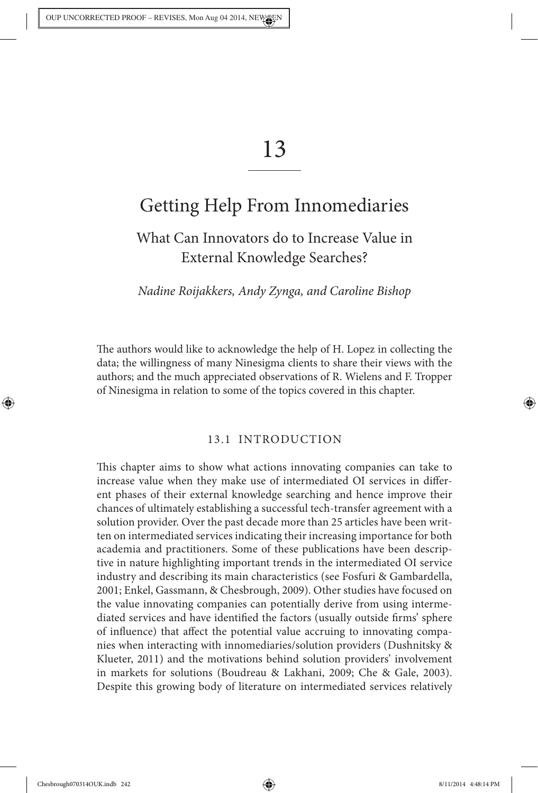# 13

# Getting Help From Innomediaries

## What Can Innovators do to Increase Value in External Knowledge Searches?

Nadine Roijakkers, Andy Zynga, and Caroline Bishop

The authors would like to acknowledge the help of H. Lopez in collecting the data; the willingness of many Ninesigma clients to share their views with the authors; and the much appreciated observations of R. Wielens and F. Tropper of Ninesigma in relation to some of the topics covered in this chapter.

#### 13.1 INTRODUCTION

This chapter aims to show what actions innovating companies can take to increase value when they make use of intermediated OI services in different phases of their external knowledge searching and hence improve their chances of ultimately establishing a successful tech-transfer agreement with a solution provider. Over the past decade more than 25 articles have been written on intermediated services indicating their increasing importance for both academia and practitioners. Some of these publications have been descriptive in nature highlighting important trends in the intermediated OI service industry and describing its main characteristics (see Fosfuri & Gambardella, 2001; Enkel, Gassmann, & Chesbrough, 2009). Other studies have focused on the value innovating companies can potentially derive from using intermediated services and have identified the factors (usually outside firms' sphere of influence) that affect the potential value accruing to innovating companies when interacting with innomediaries/solution providers (Dushnitsky & Klueter, 2011) and the motivations behind solution providers' involvement in markets for solutions (Boudreau & Lakhani, 2009; Che & Gale, 2003). Despite this growing body of literature on intermediated services relatively

◈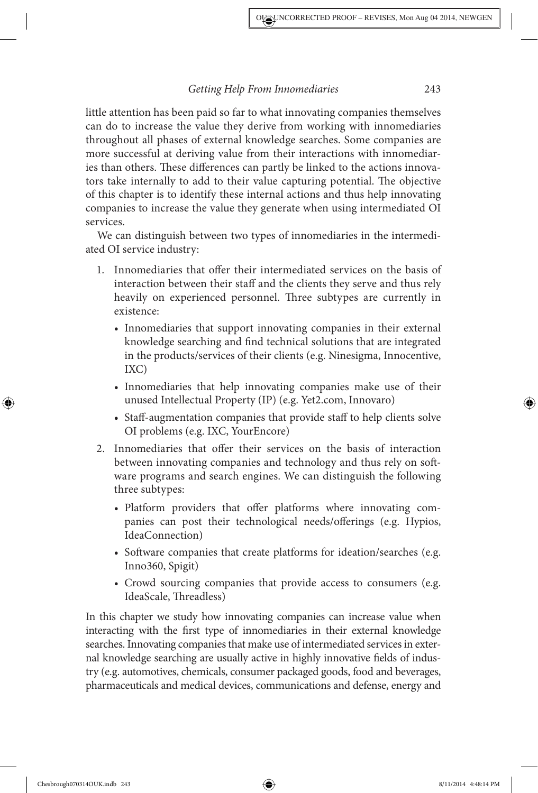little attention has been paid so far to what innovating companies themselves can do to increase the value they derive from working with innomediaries throughout all phases of external knowledge searches. Some companies are more successful at deriving value from their interactions with innomediaries than others. These differences can partly be linked to the actions innovators take internally to add to their value capturing potential. The objective of this chapter is to identify these internal actions and thus help innovating companies to increase the value they generate when using intermediated OI services.

We can distinguish between two types of innomediaries in the intermediated OI service industry:

- 1. Innomediaries that offer their intermediated services on the basis of interaction between their staff and the clients they serve and thus rely heavily on experienced personnel. Three subtypes are currently in existence:
	- Innomediaries that support innovating companies in their external knowledge searching and find technical solutions that are integrated in the products/services of their clients (e.g. Ninesigma, Innocentive, IXC)
	- Innomediaries that help innovating companies make use of their unused Intellectual Property (IP) (e.g. Yet2.com, Innovaro)
	- Staff-augmentation companies that provide staff to help clients solve OI problems (e.g. IXC, YourEncore)
- 2. Innomediaries that offer their services on the basis of interaction between innovating companies and technology and thus rely on software programs and search engines. We can distinguish the following three subtypes:
	- Platform providers that offer platforms where innovating companies can post their technological needs/offerings (e.g. Hypios, IdeaConnection)
	- Software companies that create platforms for ideation/searches (e.g. Inno360, Spigit)
	- Crowd sourcing companies that provide access to consumers (e.g. IdeaScale, Threadless)

In this chapter we study how innovating companies can increase value when interacting with the first type of innomediaries in their external knowledge searches. Innovating companies that make use of intermediated services in external knowledge searching are usually active in highly innovative fields of industry (e.g. automotives, chemicals, consumer packaged goods, food and beverages, pharmaceuticals and medical devices, communications and defense, energy and

◈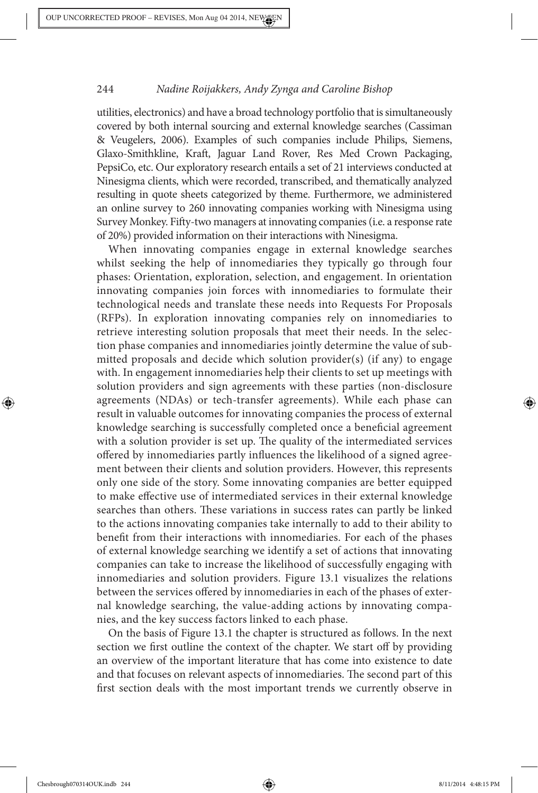utilities, electronics) and have a broad technology portfolio that is simultaneously covered by both internal sourcing and external knowledge searches (Cassiman & Veugelers, 2006). Examples of such companies include Philips, Siemens, Glaxo-Smithkline, Kraft, Jaguar Land Rover, Res Med Crown Packaging, PepsiCo, etc. Our exploratory research entails a set of 21 interviews conducted at Ninesigma clients, which were recorded, transcribed, and thematically analyzed resulting in quote sheets categorized by theme. Furthermore, we administered an online survey to 260 innovating companies working with Ninesigma using Survey Monkey. Fifty-two managers at innovating companies (i.e. a response rate of 20%) provided information on their interactions with Ninesigma.

When innovating companies engage in external knowledge searches whilst seeking the help of innomediaries they typically go through four phases: Orientation, exploration, selection, and engagement. In orientation innovating companies join forces with innomediaries to formulate their technological needs and translate these needs into Requests For Proposals (RFPs). In exploration innovating companies rely on innomediaries to retrieve interesting solution proposals that meet their needs. In the selection phase companies and innomediaries jointly determine the value of submitted proposals and decide which solution provider(s) (if any) to engage with. In engagement innomediaries help their clients to set up meetings with solution providers and sign agreements with these parties (non-disclosure agreements (NDAs) or tech-transfer agreements). While each phase can result in valuable outcomes for innovating companies the process of external knowledge searching is successfully completed once a beneficial agreement with a solution provider is set up. The quality of the intermediated services offered by innomediaries partly influences the likelihood of a signed agreement between their clients and solution providers. However, this represents only one side of the story. Some innovating companies are better equipped to make effective use of intermediated services in their external knowledge searches than others. These variations in success rates can partly be linked to the actions innovating companies take internally to add to their ability to benefit from their interactions with innomediaries. For each of the phases of external knowledge searching we identify a set of actions that innovating companies can take to increase the likelihood of successfully engaging with innomediaries and solution providers. Figure 13.1 visualizes the relations between the services offered by innomediaries in each of the phases of external knowledge searching, the value-adding actions by innovating companies, and the key success factors linked to each phase.

On the basis of Figure 13.1 the chapter is structured as follows. In the next section we first outline the context of the chapter. We start off by providing an overview of the important literature that has come into existence to date and that focuses on relevant aspects of innomediaries. The second part of this first section deals with the most important trends we currently observe in

◈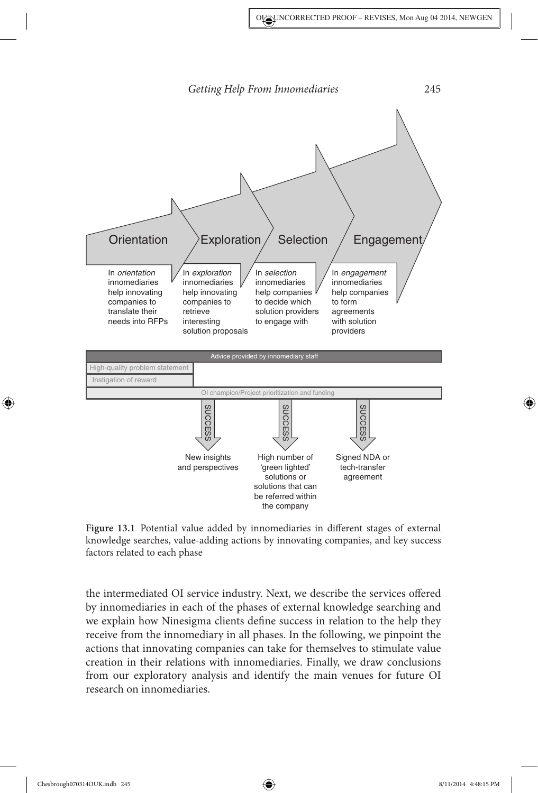



the intermediated OI service industry. Next, we describe the services offered by innomediaries in each of the phases of external knowledge searching and we explain how Ninesigma clients define success in relation to the help they receive from the innomediary in all phases. In the following, we pinpoint the actions that innovating companies can take for themselves to stimulate value creation in their relations with innomediaries. Finally, we draw conclusions from our exploratory analysis and identify the main venues for future OI research on innomediaries.

Chesbrough070314OUK.indb 245 8/11/2014 4:48:15 PM

◈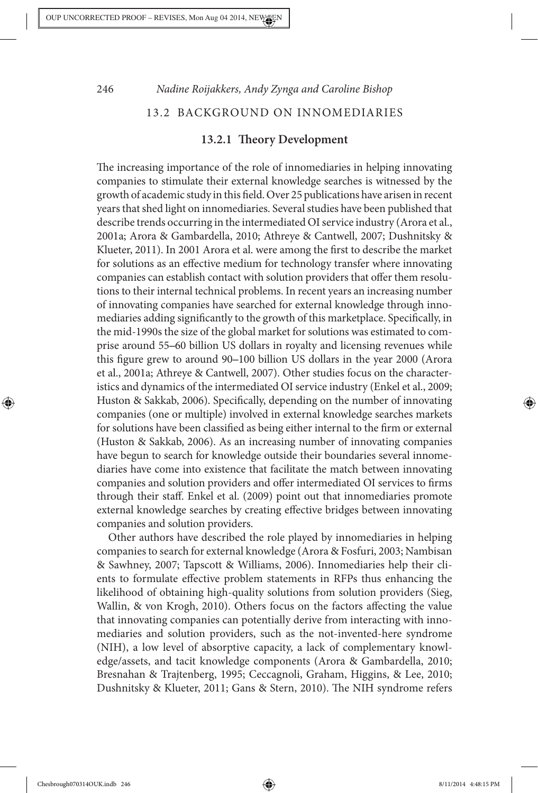# 246 Nadine Roijakkers, Andy Zynga and Caroline Bishop 13.2 BACKGROUND ON INNOMEDIARIES

#### **13.2.1 !eory Development**

The increasing importance of the role of innomediaries in helping innovating companies to stimulate their external knowledge searches is witnessed by the growth of academic study in this field. Over 25 publications have arisen in recent years that shed light on innomediaries. Several studies have been published that describe trends occurring in the intermediated OI service industry (Arora et al., 2001a; Arora & Gambardella, 2010; Athreye & Cantwell, 2007; Dushnitsky & Klueter, 2011). In 2001 Arora et al. were among the first to describe the market for solutions as an effective medium for technology transfer where innovating companies can establish contact with solution providers that offer them resolutions to their internal technical problems. In recent years an increasing number of innovating companies have searched for external knowledge through innomediaries adding significantly to the growth of this marketplace. Specifically, in the mid-1990s the size of the global market for solutions was estimated to comprise around 55–60 billion US dollars in royalty and licensing revenues while this figure grew to around 90–100 billion US dollars in the year 2000 (Arora et al., 2001a; Athreye & Cantwell, 2007). Other studies focus on the characteristics and dynamics of the intermediated OI service industry (Enkel et al., 2009; Huston & Sakkab, 2006). Specifically, depending on the number of innovating companies (one or multiple) involved in external knowledge searches markets for solutions have been classified as being either internal to the firm or external (Huston & Sakkab, 2006). As an increasing number of innovating companies have begun to search for knowledge outside their boundaries several innomediaries have come into existence that facilitate the match between innovating companies and solution providers and offer intermediated OI services to firms through their staff. Enkel et al. (2009) point out that innomediaries promote external knowledge searches by creating effective bridges between innovating companies and solution providers.

Other authors have described the role played by innomediaries in helping companies to search for external knowledge (Arora & Fosfuri, 2003; Nambisan & Sawhney, 2007; Tapscott & Williams, 2006). Innomediaries help their clients to formulate effective problem statements in RFPs thus enhancing the likelihood of obtaining high-quality solutions from solution providers (Sieg, Wallin, & von Krogh, 2010). Others focus on the factors affecting the value that innovating companies can potentially derive from interacting with innomediaries and solution providers, such as the not-invented-here syndrome (NIH), a low level of absorptive capacity, a lack of complementary knowledge/assets, and tacit knowledge components (Arora & Gambardella, 2010; Bresnahan & Trajtenberg, 1995; Ceccagnoli, Graham, Higgins, & Lee, 2010; Dushnitsky & Klueter, 2011; Gans & Stern, 2010). The NIH syndrome refers

◈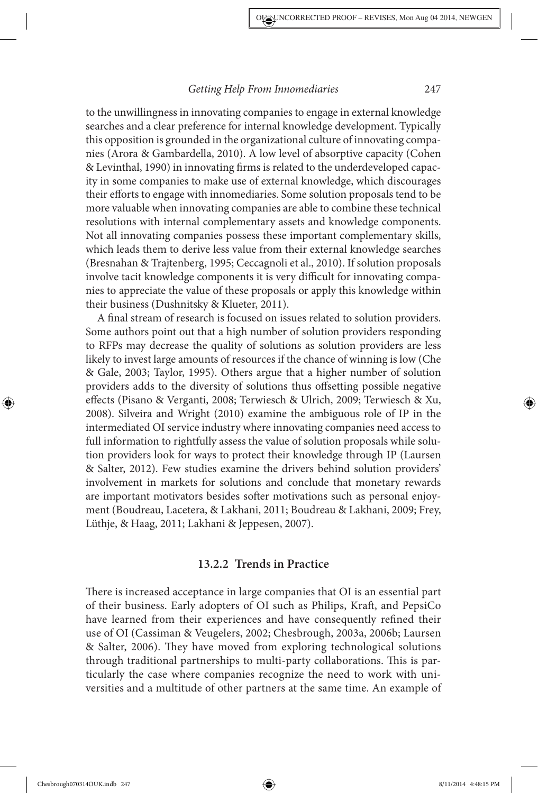to the unwillingness in innovating companies to engage in external knowledge searches and a clear preference for internal knowledge development. Typically this opposition is grounded in the organizational culture of innovating companies (Arora & Gambardella, 2010). A low level of absorptive capacity (Cohen & Levinthal, 1990) in innovating firms is related to the underdeveloped capacity in some companies to make use of external knowledge, which discourages their efforts to engage with innomediaries. Some solution proposals tend to be more valuable when innovating companies are able to combine these technical resolutions with internal complementary assets and knowledge components. Not all innovating companies possess these important complementary skills, which leads them to derive less value from their external knowledge searches (Bresnahan & Trajtenberg, 1995; Ceccagnoli et al., 2010). If solution proposals involve tacit knowledge components it is very difficult for innovating companies to appreciate the value of these proposals or apply this knowledge within their business (Dushnitsky & Klueter, 2011).

A final stream of research is focused on issues related to solution providers. Some authors point out that a high number of solution providers responding to RFPs may decrease the quality of solutions as solution providers are less likely to invest large amounts of resources if the chance of winning is low (Che & Gale, 2003; Taylor, 1995). Others argue that a higher number of solution providers adds to the diversity of solutions thus offsetting possible negative effects (Pisano & Verganti, 2008; Terwiesch & Ulrich, 2009; Terwiesch & Xu, 2008). Silveira and Wright (2010) examine the ambiguous role of IP in the intermediated OI service industry where innovating companies need access to full information to rightfully assess the value of solution proposals while solution providers look for ways to protect their knowledge through IP (Laursen & Salter, 2012). Few studies examine the drivers behind solution providers' involvement in markets for solutions and conclude that monetary rewards are important motivators besides softer motivations such as personal enjoyment (Boudreau, Lacetera, & Lakhani, 2011; Boudreau & Lakhani, 2009; Frey, Lüthje, & Haag, 2011; Lakhani & Jeppesen, 2007).

#### **13.2.2 Trends in Practice**

There is increased acceptance in large companies that OI is an essential part of their business. Early adopters of OI such as Philips, Kraft, and PepsiCo have learned from their experiences and have consequently refined their use of OI (Cassiman & Veugelers, 2002; Chesbrough, 2003a, 2006b; Laursen & Salter, 2006). They have moved from exploring technological solutions through traditional partnerships to multi-party collaborations. This is particularly the case where companies recognize the need to work with universities and a multitude of other partners at the same time. An example of

Chesbrough070314OUK.indb 247 8/11/2014 4:48:15 PM

◈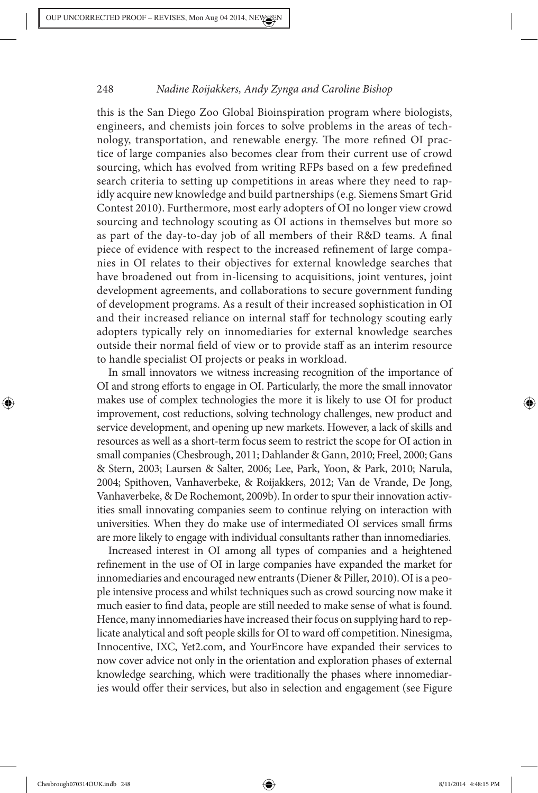this is the San Diego Zoo Global Bioinspiration program where biologists, engineers, and chemists join forces to solve problems in the areas of technology, transportation, and renewable energy. The more refined OI practice of large companies also becomes clear from their current use of crowd sourcing, which has evolved from writing RFPs based on a few predefined search criteria to setting up competitions in areas where they need to rapidly acquire new knowledge and build partnerships (e.g. Siemens Smart Grid Contest 2010). Furthermore, most early adopters of OI no longer view crowd sourcing and technology scouting as OI actions in themselves but more so as part of the day-to-day job of all members of their R&D teams. A final piece of evidence with respect to the increased refinement of large companies in OI relates to their objectives for external knowledge searches that have broadened out from in-licensing to acquisitions, joint ventures, joint development agreements, and collaborations to secure government funding of development programs. As a result of their increased sophistication in OI and their increased reliance on internal staff for technology scouting early adopters typically rely on innomediaries for external knowledge searches outside their normal field of view or to provide staff as an interim resource to handle specialist OI projects or peaks in workload.

In small innovators we witness increasing recognition of the importance of OI and strong efforts to engage in OI. Particularly, the more the small innovator makes use of complex technologies the more it is likely to use OI for product improvement, cost reductions, solving technology challenges, new product and service development, and opening up new markets. However, a lack of skills and resources as well as a short-term focus seem to restrict the scope for OI action in small companies (Chesbrough, 2011; Dahlander & Gann, 2010; Freel, 2000; Gans & Stern, 2003; Laursen & Salter, 2006; Lee, Park, Yoon, & Park, 2010; Narula, 2004; Spithoven, Vanhaverbeke, & Roijakkers, 2012; Van de Vrande, De Jong, Vanhaverbeke, & De Rochemont, 2009b). In order to spur their innovation activities small innovating companies seem to continue relying on interaction with universities. When they do make use of intermediated OI services small firms are more likely to engage with individual consultants rather than innomediaries.

Increased interest in OI among all types of companies and a heightened refinement in the use of OI in large companies have expanded the market for innomediaries and encouraged new entrants (Diener & Piller, 2010). OI is a people intensive process and whilst techniques such as crowd sourcing now make it much easier to find data, people are still needed to make sense of what is found. Hence, many innomediaries have increased their focus on supplying hard to replicate analytical and soft people skills for OI to ward off competition. Ninesigma, Innocentive, IXC, Yet2.com, and YourEncore have expanded their services to now cover advice not only in the orientation and exploration phases of external knowledge searching, which were traditionally the phases where innomediaries would offer their services, but also in selection and engagement (see Figure

Chesbrough070314OUK.indb 248 8/11/2014 4:48:15 PM 8/11/2014 4:48:15 PM

◈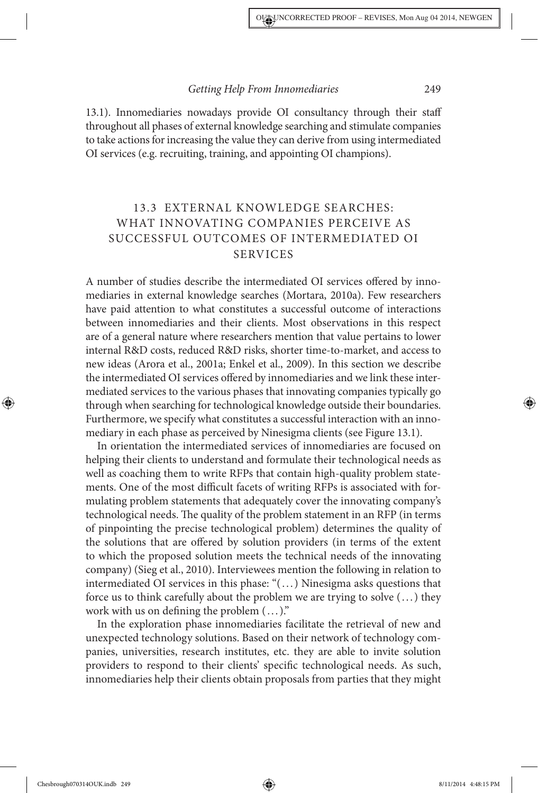13.1). Innomediaries nowadays provide OI consultancy through their staff throughout all phases of external knowledge searching and stimulate companies to take actions for increasing the value they can derive from using intermediated OI services (e.g. recruiting, training, and appointing OI champions).

### 13.3 EXTERNAL KNOWLEDGE SEARCHES: WHAT INNOVATING COMPANIES PERCEIVE AS SUCCESSFUL OUTCOMES OF INTERMEDIATED OI SERVICES

A number of studies describe the intermediated OI services offered by innomediaries in external knowledge searches (Mortara, 2010a). Few researchers have paid attention to what constitutes a successful outcome of interactions between innomediaries and their clients. Most observations in this respect are of a general nature where researchers mention that value pertains to lower internal R&D costs, reduced R&D risks, shorter time-to-market, and access to new ideas (Arora et al., 2001a; Enkel et al., 2009). In this section we describe the intermediated OI services offered by innomediaries and we link these intermediated services to the various phases that innovating companies typically go through when searching for technological knowledge outside their boundaries. Furthermore, we specify what constitutes a successful interaction with an innomediary in each phase as perceived by Ninesigma clients (see Figure 13.1).

In orientation the intermediated services of innomediaries are focused on helping their clients to understand and formulate their technological needs as well as coaching them to write RFPs that contain high-quality problem statements. One of the most difficult facets of writing RFPs is associated with formulating problem statements that adequately cover the innovating company's technological needs. The quality of the problem statement in an RFP (in terms of pinpointing the precise technological problem) determines the quality of the solutions that are offered by solution providers (in terms of the extent to which the proposed solution meets the technical needs of the innovating company) (Sieg et al., 2010). Interviewees mention the following in relation to intermediated OI services in this phase: "(. . .) Ninesigma asks questions that force us to think carefully about the problem we are trying to solve (. . .) they work with us on defining the problem  $(\,\ldots\,)^n$ 

In the exploration phase innomediaries facilitate the retrieval of new and unexpected technology solutions. Based on their network of technology companies, universities, research institutes, etc. they are able to invite solution providers to respond to their clients' specific technological needs. As such, innomediaries help their clients obtain proposals from parties that they might

◈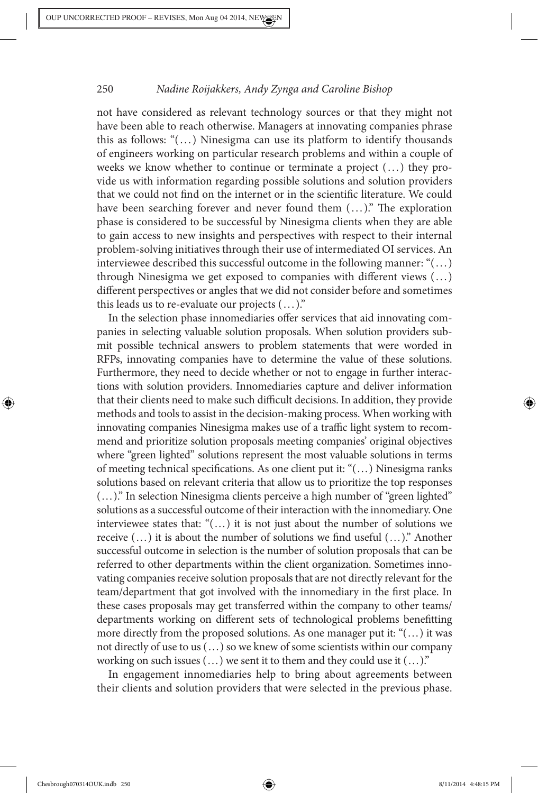not have considered as relevant technology sources or that they might not have been able to reach otherwise. Managers at innovating companies phrase this as follows: "(. . .) Ninesigma can use its platform to identify thousands of engineers working on particular research problems and within a couple of weeks we know whether to continue or terminate a project  $(...)$  they provide us with information regarding possible solutions and solution providers that we could not find on the internet or in the scientific literature. We could have been searching forever and never found them  $(...)$ ." The exploration phase is considered to be successful by Ninesigma clients when they are able to gain access to new insights and perspectives with respect to their internal problem-solving initiatives through their use of intermediated OI services. An interviewee described this successful outcome in the following manner: " $(\ldots)$ through Ninesigma we get exposed to companies with different views  $(...)$ different perspectives or angles that we did not consider before and sometimes this leads us to re-evaluate our projects  $(...).$ "

In the selection phase innomediaries offer services that aid innovating companies in selecting valuable solution proposals. When solution providers submit possible technical answers to problem statements that were worded in RFPs, innovating companies have to determine the value of these solutions. Furthermore, they need to decide whether or not to engage in further interactions with solution providers. Innomediaries capture and deliver information that their clients need to make such difficult decisions. In addition, they provide methods and tools to assist in the decision-making process. When working with innovating companies Ninesigma makes use of a traffic light system to recommend and prioritize solution proposals meeting companies' original objectives where "green lighted" solutions represent the most valuable solutions in terms of meeting technical specifications. As one client put it: " $(...)$  Ninesigma ranks solutions based on relevant criteria that allow us to prioritize the top responses (...)." In selection Ninesigma clients perceive a high number of "green lighted" solutions as a successful outcome of their interaction with the innomediary. One interviewee states that: "(...) it is not just about the number of solutions we receive  $(...)$  it is about the number of solutions we find useful  $(...)$ ." Another successful outcome in selection is the number of solution proposals that can be referred to other departments within the client organization. Sometimes innovating companies receive solution proposals that are not directly relevant for the team/department that got involved with the innomediary in the first place. In these cases proposals may get transferred within the company to other teams/ departments working on different sets of technological problems benefitting more directly from the proposed solutions. As one manager put it: "(...) it was not directly of use to us (...) so we knew of some scientists within our company working on such issues (...) we sent it to them and they could use it (...)."

In engagement innomediaries help to bring about agreements between their clients and solution providers that were selected in the previous phase.

◈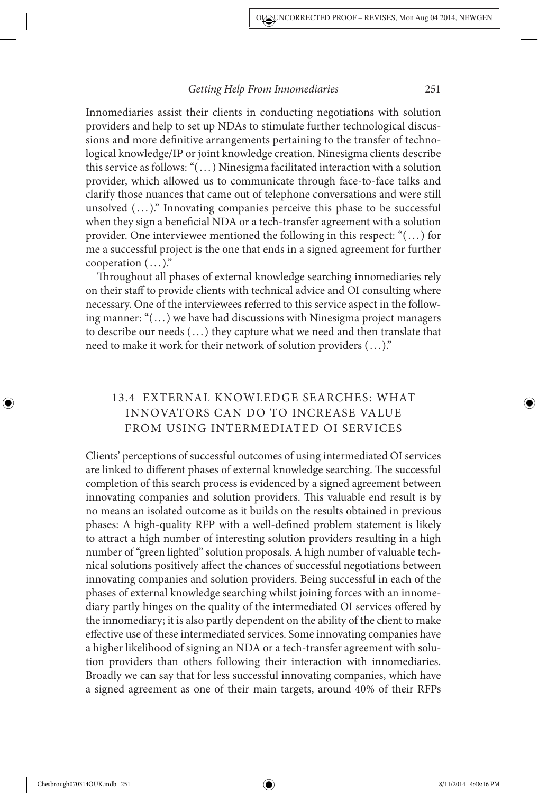Innomediaries assist their clients in conducting negotiations with solution providers and help to set up NDAs to stimulate further technological discussions and more definitive arrangements pertaining to the transfer of technological knowledge/IP or joint knowledge creation. Ninesigma clients describe this service as follows: "(. . .) Ninesigma facilitated interaction with a solution provider, which allowed us to communicate through face-to-face talks and clarify those nuances that came out of telephone conversations and were still unsolved  $(\ldots)$ ." Innovating companies perceive this phase to be successful when they sign a beneficial NDA or a tech-transfer agreement with a solution provider. One interviewee mentioned the following in this respect: "(. . .) for me a successful project is the one that ends in a signed agreement for further cooperation  $(\ldots)$ ."

Throughout all phases of external knowledge searching innomediaries rely on their staff to provide clients with technical advice and OI consulting where necessary. One of the interviewees referred to this service aspect in the following manner: "(. . .) we have had discussions with Ninesigma project managers to describe our needs (. . .) they capture what we need and then translate that need to make it work for their network of solution providers (. . .)."

### 13.4 EXTERNAL KNOWLEDGE SEARCHES: WHAT INNOVATORS CAN DO TO INCREASE VALUE FROM USING INTERMEDIATED OI SERVICES

Clients' perceptions of successful outcomes of using intermediated OI services are linked to different phases of external knowledge searching. The successful completion of this search process is evidenced by a signed agreement between innovating companies and solution providers. This valuable end result is by no means an isolated outcome as it builds on the results obtained in previous phases: A high-quality RFP with a well-defined problem statement is likely to attract a high number of interesting solution providers resulting in a high number of "green lighted" solution proposals. A high number of valuable technical solutions positively affect the chances of successful negotiations between innovating companies and solution providers. Being successful in each of the phases of external knowledge searching whilst joining forces with an innomediary partly hinges on the quality of the intermediated OI services offered by the innomediary; it is also partly dependent on the ability of the client to make effective use of these intermediated services. Some innovating companies have a higher likelihood of signing an NDA or a tech-transfer agreement with solution providers than others following their interaction with innomediaries. Broadly we can say that for less successful innovating companies, which have a signed agreement as one of their main targets, around 40% of their RFPs

◈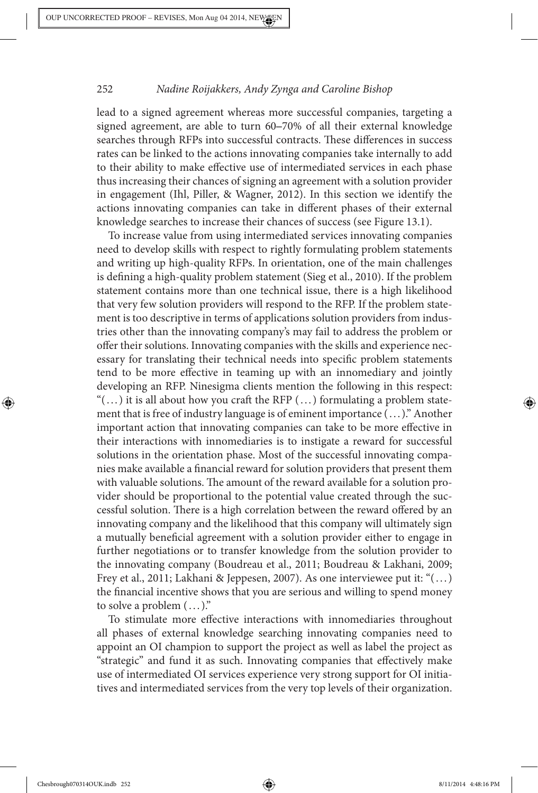lead to a signed agreement whereas more successful companies, targeting a signed agreement, are able to turn 60–70% of all their external knowledge searches through RFPs into successful contracts. These differences in success rates can be linked to the actions innovating companies take internally to add to their ability to make effective use of intermediated services in each phase thus increasing their chances of signing an agreement with a solution provider in engagement (Ihl, Piller, & Wagner, 2012). In this section we identify the actions innovating companies can take in different phases of their external knowledge searches to increase their chances of success (see Figure 13.1).

To increase value from using intermediated services innovating companies need to develop skills with respect to rightly formulating problem statements and writing up high-quality RFPs. In orientation, one of the main challenges is defining a high-quality problem statement (Sieg et al., 2010). If the problem statement contains more than one technical issue, there is a high likelihood that very few solution providers will respond to the RFP. If the problem statement is too descriptive in terms of applications solution providers from industries other than the innovating company's may fail to address the problem or offer their solutions. Innovating companies with the skills and experience necessary for translating their technical needs into specific problem statements tend to be more effective in teaming up with an innomediary and jointly developing an RFP. Ninesigma clients mention the following in this respect: " $(...)$  it is all about how you craft the RFP  $(...)$  formulating a problem statement that is free of industry language is of eminent importance (. . .)." Another important action that innovating companies can take to be more effective in their interactions with innomediaries is to instigate a reward for successful solutions in the orientation phase. Most of the successful innovating companies make available a financial reward for solution providers that present them with valuable solutions. The amount of the reward available for a solution provider should be proportional to the potential value created through the successful solution. There is a high correlation between the reward offered by an innovating company and the likelihood that this company will ultimately sign a mutually beneficial agreement with a solution provider either to engage in further negotiations or to transfer knowledge from the solution provider to the innovating company (Boudreau et al., 2011; Boudreau & Lakhani, 2009; Frey et al., 2011; Lakhani & Jeppesen, 2007). As one interviewee put it: " $( \dots )$ the financial incentive shows that you are serious and willing to spend money to solve a problem  $(\ldots)$ ."

To stimulate more effective interactions with innomediaries throughout all phases of external knowledge searching innovating companies need to appoint an OI champion to support the project as well as label the project as "strategic" and fund it as such. Innovating companies that effectively make use of intermediated OI services experience very strong support for OI initiatives and intermediated services from the very top levels of their organization.

◈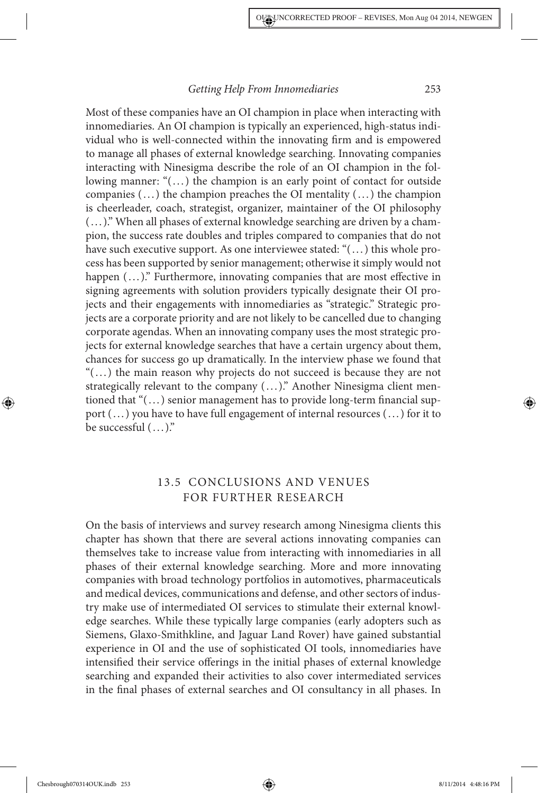Most of these companies have an OI champion in place when interacting with innomediaries. An OI champion is typically an experienced, high-status individual who is well-connected within the innovating firm and is empowered to manage all phases of external knowledge searching. Innovating companies interacting with Ninesigma describe the role of an OI champion in the following manner: " $(...)$  the champion is an early point of contact for outside companies  $(\,\ldots\,)$  the champion preaches the OI mentality  $(\,\ldots\,)$  the champion is cheerleader, coach, strategist, organizer, maintainer of the OI philosophy (. . .)." When all phases of external knowledge searching are driven by a champion, the success rate doubles and triples compared to companies that do not have such executive support. As one interviewee stated: "(...) this whole process has been supported by senior management; otherwise it simply would not happen  $(...)$ ." Furthermore, innovating companies that are most effective in signing agreements with solution providers typically designate their OI projects and their engagements with innomediaries as "strategic." Strategic projects are a corporate priority and are not likely to be cancelled due to changing corporate agendas. When an innovating company uses the most strategic projects for external knowledge searches that have a certain urgency about them, chances for success go up dramatically. In the interview phase we found that "(. . .) the main reason why projects do not succeed is because they are not strategically relevant to the company  $(...)$ ." Another Ninesigma client mentioned that " $(...)$  senior management has to provide long-term financial support (...) you have to have full engagement of internal resources (...) for it to be successful  $(...)$ ."

### 13.5 CONCLUSIONS AND VENUES FOR FURTHER RESEARCH

On the basis of interviews and survey research among Ninesigma clients this chapter has shown that there are several actions innovating companies can themselves take to increase value from interacting with innomediaries in all phases of their external knowledge searching. More and more innovating companies with broad technology portfolios in automotives, pharmaceuticals and medical devices, communications and defense, and other sectors of industry make use of intermediated OI services to stimulate their external knowledge searches. While these typically large companies (early adopters such as Siemens, Glaxo-Smithkline, and Jaguar Land Rover) have gained substantial experience in OI and the use of sophisticated OI tools, innomediaries have intensified their service offerings in the initial phases of external knowledge searching and expanded their activities to also cover intermediated services in the final phases of external searches and OI consultancy in all phases. In

◈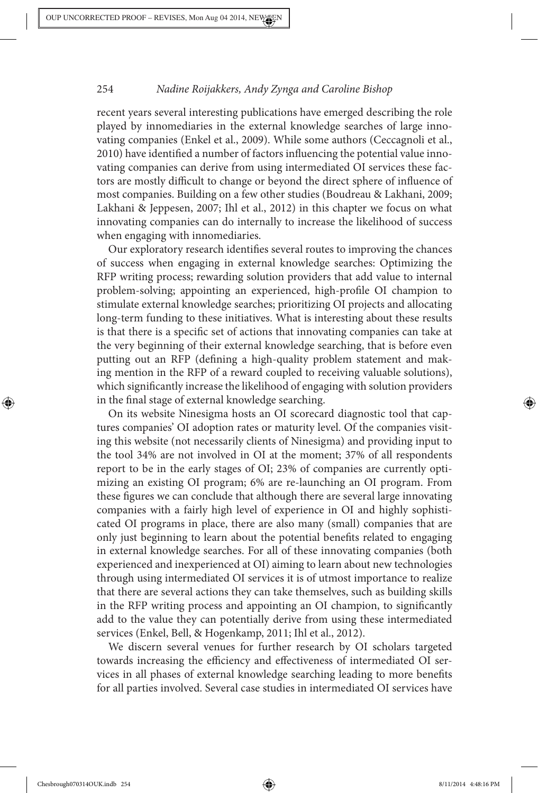recent years several interesting publications have emerged describing the role played by innomediaries in the external knowledge searches of large innovating companies (Enkel et al., 2009). While some authors (Ceccagnoli et al., 2010) have identified a number of factors influencing the potential value innovating companies can derive from using intermediated OI services these factors are mostly difficult to change or beyond the direct sphere of influence of most companies. Building on a few other studies (Boudreau & Lakhani, 2009; Lakhani & Jeppesen, 2007; Ihl et al., 2012) in this chapter we focus on what innovating companies can do internally to increase the likelihood of success when engaging with innomediaries.

Our exploratory research identifies several routes to improving the chances of success when engaging in external knowledge searches: Optimizing the RFP writing process; rewarding solution providers that add value to internal problem-solving; appointing an experienced, high-profile OI champion to stimulate external knowledge searches; prioritizing OI projects and allocating long-term funding to these initiatives. What is interesting about these results is that there is a specific set of actions that innovating companies can take at the very beginning of their external knowledge searching, that is before even putting out an RFP (defining a high-quality problem statement and making mention in the RFP of a reward coupled to receiving valuable solutions), which significantly increase the likelihood of engaging with solution providers in the final stage of external knowledge searching.

On its website Ninesigma hosts an OI scorecard diagnostic tool that captures companies' OI adoption rates or maturity level. Of the companies visiting this website (not necessarily clients of Ninesigma) and providing input to the tool 34% are not involved in OI at the moment; 37% of all respondents report to be in the early stages of OI; 23% of companies are currently optimizing an existing OI program; 6% are re-launching an OI program. From these figures we can conclude that although there are several large innovating companies with a fairly high level of experience in OI and highly sophisticated OI programs in place, there are also many (small) companies that are only just beginning to learn about the potential benefits related to engaging in external knowledge searches. For all of these innovating companies (both experienced and inexperienced at OI) aiming to learn about new technologies through using intermediated OI services it is of utmost importance to realize that there are several actions they can take themselves, such as building skills in the RFP writing process and appointing an OI champion, to significantly add to the value they can potentially derive from using these intermediated services (Enkel, Bell, & Hogenkamp, 2011; Ihl et al., 2012).

We discern several venues for further research by OI scholars targeted towards increasing the efficiency and effectiveness of intermediated OI services in all phases of external knowledge searching leading to more benefits for all parties involved. Several case studies in intermediated OI services have

Chesbrough070314OUK.indb 254 8/11/2014 4:48:16 PM

◈